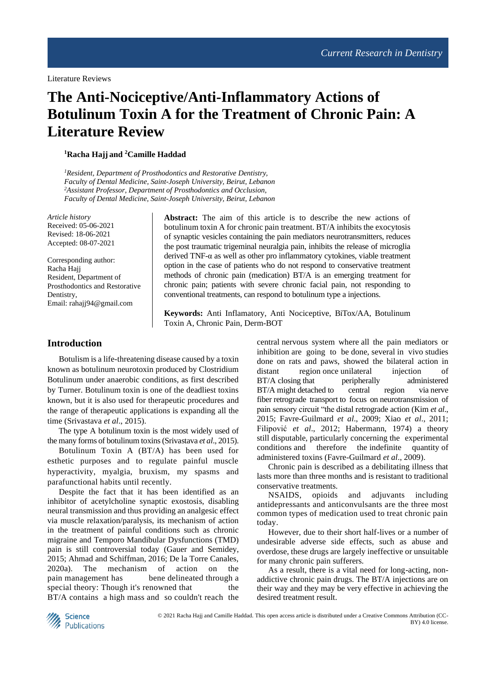Literature Reviews

# **The Anti-Nociceptive/Anti-Inflammatory Actions of Botulinum Toxin A for the Treatment of Chronic Pain: A Literature Review**

#### **<sup>1</sup>Racha Hajj and <sup>2</sup>Camille Haddad**

*<sup>1</sup>Resident, Department of Prosthodontics and Restorative Dentistry, Faculty of Dental Medicine, Saint-Joseph University, Beirut, Lebanon <sup>2</sup>Assistant Professor, Department of Prosthodontics and Occlusion, Faculty of Dental Medicine, Saint-Joseph University, Beirut, Lebanon*

*Article history* Received: 05-06-2021 Revised: 18-06-2021 Accepted: 08-07-2021

Corresponding author: Racha Hajj Resident, Department of Prosthodontics and Restorative **Dentistry** Email: rahajj94@gmail.com

**Abstract:** The aim of this article is to describe the new actions of botulinum toxin A for chronic pain treatment. BT/A inhibits the exocytosis of synaptic vesicles containing the pain mediators neurotransmitters, reduces the post traumatic trigeminal neuralgia pain, inhibits the release of microglia derived TNF-α as well as other pro inflammatory cytokines, viable treatment option in the case of patients who do not respond to conservative treatment methods of chronic pain (medication) BT/A is an emerging treatment for chronic pain; patients with severe chronic facial pain, not responding to conventional treatments, can respond to botulinum type a injections.

**Keywords:** Anti Inflamatory, Anti Nociceptive, BiTox/AA, Botulinum Toxin A, Chronic Pain, Derm-BOT

## **Introduction**

Botulism is a life-threatening disease caused by a toxin known as botulinum neurotoxin produced by Clostridium Botulinum under anaerobic conditions, as first described by Turner. Botulinum toxin is one of the deadliest toxins known, but it is also used for therapeutic procedures and the range of therapeutic applications is expanding all the time (Srivastava *et al*., 2015).

The type A botulinum toxin is the most widely used of the many forms of botulinum toxins(Srivastava *et al*., 2015).

Botulinum Toxin A (BT/A) has been used for esthetic purposes and to regulate painful muscle hyperactivity, myalgia, bruxism, my spasms and parafunctional habits until recently.

Despite the fact that it has been identified as an inhibitor of acetylcholine synaptic exostosis, disabling neural transmission and thus providing an analgesic effect via muscle relaxation/paralysis, its mechanism of action in the treatment of painful conditions such as chronic migraine and Temporo Mandibular Dysfunctions (TMD) pain is still controversial today (Gauer and Semidey, 2015; Ahmad and Schiffman, 2016; De la Torre Canales, 2020a). The mechanism of action on the pain management has bene delineated through a special theory: Though it's renowned that the BT/A contains a high mass and so couldn't reach the

central nervous system where all the pain mediators or inhibition are going to be done, several in vivo studies done on rats and paws, showed the bilateral action in distant region once unilateral injection of BT/A closing that peripherally administered BT/A might detached to central region via nerve fiber retrograde transport to focus on neurotransmission of pain sensory circuit "the distal retrograde action (Kim *et al*., 2015; Favre-Guilmard *et al*., 2009; Xiao *et al*., 2011; Filipović *et al*., 2012; Habermann, 1974) a theory still disputable, particularly concerning the experimental conditions and therefore the indefinite quantity of administered toxins (Favre-Guilmard *et al*., 2009).

Chronic pain is described as a debilitating illness that lasts more than three months and is resistant to traditional conservative treatments.

NSAIDS, opioids and adjuvants including antidepressants and anticonvulsants are the three most common types of medication used to treat chronic pain today.

However, due to their short half-lives or a number of undesirable adverse side effects, such as abuse and overdose, these drugs are largely ineffective or unsuitable for many chronic pain sufferers.

As a result, there is a vital need for long-acting, nonaddictive chronic pain drugs. The BT/A injections are on their way and they may be very effective in achieving the desired treatment result.

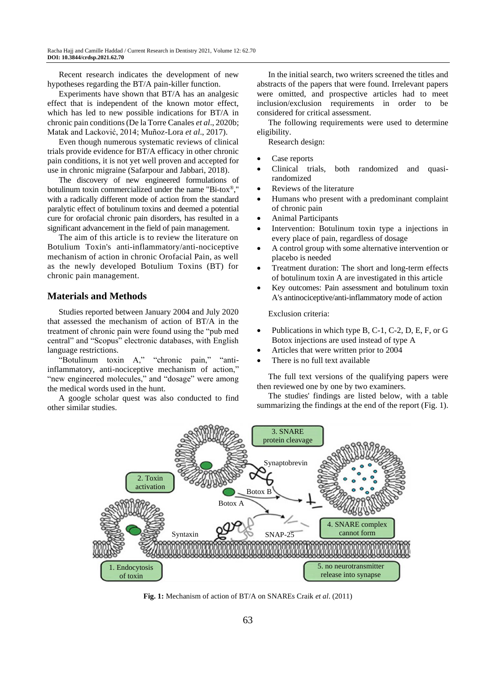Recent research indicates the development of new hypotheses regarding the BT/A pain-killer function.

Experiments have shown that BT/A has an analgesic effect that is independent of the known motor effect, which has led to new possible indications for BT/A in chronic pain conditions(De la Torre Canales *et al*., 2020b; Matak and Lacković, 2014; Muñoz-Lora *et al*., 2017).

Even though numerous systematic reviews of clinical trials provide evidence for BT/A efficacy in other chronic pain conditions, it is not yet well proven and accepted for use in chronic migraine (Safarpour and Jabbari, 2018).

The discovery of new engineered formulations of botulinum toxin commercialized under the name "Bi-tox®," with a radically different mode of action from the standard paralytic effect of botulinum toxins and deemed a potential cure for orofacial chronic pain disorders, has resulted in a significant advancement in the field of pain management.

The aim of this article is to review the literature on Botulium Toxin's anti-inflammatory/anti-nociceptive mechanism of action in chronic Orofacial Pain, as well as the newly developed Botulium Toxins (BT) for chronic pain management.

## **Materials and Methods**

Studies reported between January 2004 and July 2020 that assessed the mechanism of action of BT/A in the treatment of chronic pain were found using the "pub med central" and "Scopus" electronic databases, with English language restrictions.

"Botulinum toxin A," "chronic pain," "antiinflammatory, anti-nociceptive mechanism of action," "new engineered molecules," and "dosage" were among the medical words used in the hunt.

A google scholar quest was also conducted to find other similar studies.

In the initial search, two writers screened the titles and abstracts of the papers that were found. Irrelevant papers were omitted, and prospective articles had to meet inclusion/exclusion requirements in order to be considered for critical assessment.

The following requirements were used to determine eligibility.

Research design:

- Case reports
- Clinical trials, both randomized and quasirandomized
- Reviews of the literature
- Humans who present with a predominant complaint of chronic pain
- Animal Participants
- Intervention: Botulinum toxin type a injections in every place of pain, regardless of dosage
- A control group with some alternative intervention or placebo is needed
- Treatment duration: The short and long-term effects of botulinum toxin A are investigated in this article
- Key outcomes: Pain assessment and botulinum toxin A's antinociceptive/anti-inflammatory mode of action

Exclusion criteria:

- Publications in which type B, C-1, C-2, D, E, F, or G Botox injections are used instead of type A
- Articles that were written prior to 2004
- There is no full text available

The full text versions of the qualifying papers were then reviewed one by one by two examiners.

The studies' findings are listed below, with a table summarizing the findings at the end of the report (Fig. 1).



**Fig. 1:** Mechanism of action of BT/A on SNAREs Craik *et al*. (2011)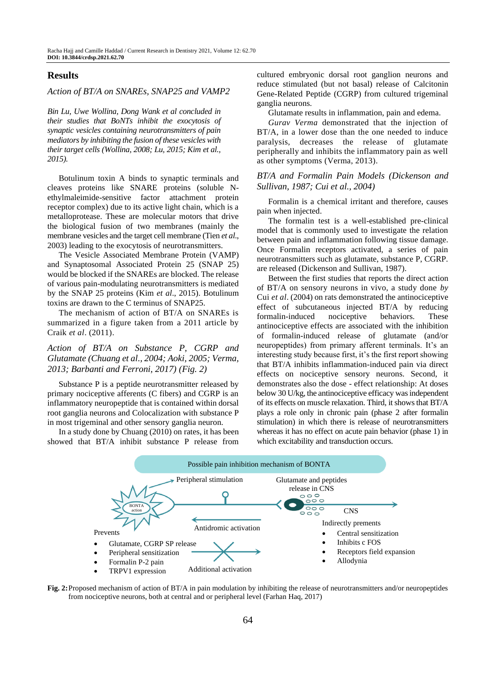## **Results**

#### *Action of BT/A on SNAREs, SNAP25 and VAMP2*

*Bin Lu, Uwe Wollina, Dong Wank et al concluded in their studies that BoNTs inhibit the exocytosis of synaptic vesicles containing neurotransmitters of pain mediators by inhibiting the fusion of these vesicles with their target cells (Wollina, 2008; Lu, 2015; Kim et al., 2015).*

Botulinum toxin A binds to synaptic terminals and cleaves proteins like SNARE proteins (soluble Nethylmaleimide-sensitive factor attachment protein receptor complex) due to its active light chain, which is a metalloprotease. These are molecular motors that drive the biological fusion of two membranes (mainly the membrane vesicles and the target cell membrane (Tien *et al*., 2003) leading to the exocytosis of neurotransmitters.

The Vesicle Associated Membrane Protein (VAMP) and Synaptosomal Associated Protein 25 (SNAP 25) would be blocked if the SNAREs are blocked. The release of various pain-modulating neurotransmitters is mediated by the SNAP 25 proteins (Kim *et al*., 2015). Botulinum toxins are drawn to the C terminus of SNAP25.

The mechanism of action of BT/A on SNAREs is summarized in a figure taken from a 2011 article by Craik *et al*. (2011).

*Action of BT/A on Substance P, CGRP and Glutamate (Chuang et al., 2004; Aoki, 2005; Verma, 2013; Barbanti and Ferroni, 2017) (Fig. 2)*

Substance P is a peptide neurotransmitter released by primary nociceptive afferents (C fibers) and CGRP is an inflammatory neuropeptide that is contained within dorsal root ganglia neurons and Colocalization with substance P in most trigeminal and other sensory ganglia neuron.

In a study done by Chuang (2010) on rates, it has been showed that BT/A inhibit substance P release from cultured embryonic dorsal root ganglion neurons and reduce stimulated (but not basal) release of Calcitonin Gene-Related Peptide (CGRP) from cultured trigeminal ganglia neurons.

Glutamate results in inflammation, pain and edema.

*Gurav Verma* demonstrated that the injection of BT/A, in a lower dose than the one needed to induce paralysis, decreases the release of glutamate peripherally and inhibits the inflammatory pain as well as other symptoms (Verma, 2013).

## *BT/A and Formalin Pain Models (Dickenson and Sullivan, 1987; Cui et al., 2004)*

Formalin is a chemical irritant and therefore, causes pain when injected.

The formalin test is a well-established pre-clinical model that is commonly used to investigate the relation between pain and inflammation following tissue damage. Once Formalin receptors activated, a series of pain neurotransmitters such as glutamate, substance P, CGRP. are released (Dickenson and Sullivan, 1987).

Between the first studies that reports the direct action of BT/A on sensory neurons in vivo, a study done *by*  Cui *et al*. (2004) on rats demonstrated the antinociceptive effect of subcutaneous injected BT/A by reducing formalin-induced nociceptive behaviors. These antinociceptive effects are associated with the inhibition of formalin-induced release of glutamate (and/or neuropeptides) from primary afferent terminals. It's an interesting study because first, it's the first report showing that BT/A inhibits inflammation-induced pain via direct effects on nociceptive sensory neurons. Second, it demonstrates also the dose - effect relationship: At doses below 30 U/kg, the antinociceptive efficacy was independent of its effects on muscle relaxation. Third, it shows that BT/A plays a role only in chronic pain (phase 2 after formalin stimulation) in which there is release of neurotransmitters whereas it has no effect on acute pain behavior (phase 1) in which excitability and transduction occurs.



**Fig. 2:**Proposed mechanism of action of BT/A in pain modulation by inhibiting the release of neurotransmitters and/or neuropeptides from nociceptive neurons, both at central and or peripheral level (Farhan Haq, 2017)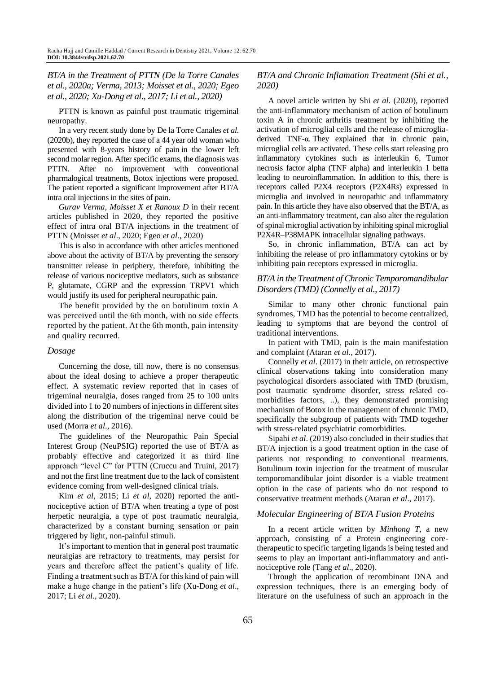*BT/A in the Treatment of PTTN (De la Torre Canales et al., 2020a; Verma, 2013; Moisset et al., 2020; Egeo et al., 2020; Xu-Dong et al., 2017; Li et al., 2020)*

PTTN is known as painful post traumatic trigeminal neuropathy.

In a very recent study done by De la Torre Canales *et al*. (2020b), they reported the case of a 44 year old woman who presented with 8-years history of pain in the lower left second molar region. After specific exams, the diagnosis was PTTN. After no improvement with conventional pharmalogical treatments, Botox injections were proposed. The patient reported a significant improvement after BT/A intra oral injections in the sites of pain.

Gurav Verma, Moisset X et Ranoux D in their recent articles published in 2020, they reported the positive effect of intra oral BT/A injections in the treatment of PTTN (Moisset *et al*., 2020; Egeo *et al*., 2020)

This is also in accordance with other articles mentioned above about the activity of BT/A by preventing the sensory transmitter release in periphery, therefore, inhibiting the release of various nociceptive mediators, such as substance P, glutamate, CGRP and the expression TRPV1 which would justify its used for peripheral neuropathic pain.

The benefit provided by the on botulinum toxin A was perceived until the 6th month, with no side effects reported by the patient. At the 6th month, pain intensity and quality recurred.

#### *Dosage*

Concerning the dose, till now, there is no consensus about the ideal dosing to achieve a proper therapeutic effect. A systematic review reported that in cases of trigeminal neuralgia, doses ranged from 25 to 100 units divided into 1 to 20 numbers of injections in different sites along the distribution of the trigeminal nerve could be used (Morra *et al*., 2016).

The guidelines of the Neuropathic Pain Special Interest Group (NeuPSIG) reported the use of BT/A as probably effective and categorized it as third line approach "level C" for PTTN (Cruccu and Truini, 2017) and not the first line treatment due to the lack of consistent evidence coming from well-designed clinical trials.

Kim *et al*, 2015; Li *et al*, 2020) reported the antinociceptive action of BT/A when treating a type of post herpetic neuralgia, a type of post traumatic neuralgia, characterized by a constant burning sensation or pain triggered by light, non-painful stimuli.

It's important to mention that in general post traumatic neuralgias are refractory to treatments, may persist for years and therefore affect the patient's quality of life. Finding a treatment such as BT/A for this kind of pain will make a huge change in the patient's life (Xu-Dong *et al*., 2017; Li *et al*., 2020).

## *BT/A and Chronic Inflamation Treatment (Shi et al., 2020)*

A novel article written by Shi *et al*. (2020), reported the anti-inflammatory mechanism of action of botulinum toxin A in chronic arthritis treatment by inhibiting the activation of microglial cells and the release of microgliaderived TNF-α. They explained that in chronic pain, microglial cells are activated. These cells start releasing pro inflammatory cytokines such as interleukin 6, Tumor necrosis factor alpha (TNF alpha) and interleukin 1 betta leading to neuroinflammation. In addition to this, there is receptors called P2X4 receptors (P2X4Rs) expressed in microglia and involved in neuropathic and inflammatory pain. In this article they have also observed that the BT/A, as an anti-inflammatory treatment, can also alter the regulation of spinal microglial activation by inhibiting spinal microglial P2X4R–P38MAPK intracellular signaling pathways.

So, in chronic inflammation, BT/A can act by inhibiting the release of pro inflammatory cytokins or by inhibiting pain receptors expressed in microglia.

## *BT/A in the Treatment of Chronic Temporomandibular Disorders (TMD) (Connelly et al., 2017)*

Similar to many other chronic functional pain syndromes, TMD has the potential to become centralized, leading to symptoms that are beyond the control of traditional interventions.

In patient with TMD, pain is the main manifestation and complaint (Ataran *et al*., 2017).

Connelly *et al*. (2017) in their article, on retrospective clinical observations taking into consideration many psychological disorders associated with TMD (bruxism, post traumatic syndrome disorder, stress related comorbidities factors, ..), they demonstrated promising mechanism of Botox in the management of chronic TMD, specifically the subgroup of patients with TMD together with stress-related psychiatric comorbidities.

Sipahi *et al*. (2019) also concluded in their studies that BT/A injection is a good treatment option in the case of patients not responding to conventional treatments. Botulinum toxin injection for the treatment of muscular temporomandibular joint disorder is a viable treatment option in the case of patients who do not respond to conservative treatment methods (Ataran *et al*., 2017).

## *Molecular Engineering of BT/A Fusion Proteins*

In a recent article written by *Minhong T*, a new approach, consisting of a Protein engineering coretherapeutic to specific targeting ligands is being tested and seems to play an important anti-inflammatory and antinociceptive role (Tang *et al*., 2020).

Through the application of recombinant DNA and expression techniques, there is an emerging body of literature on the usefulness of such an approach in the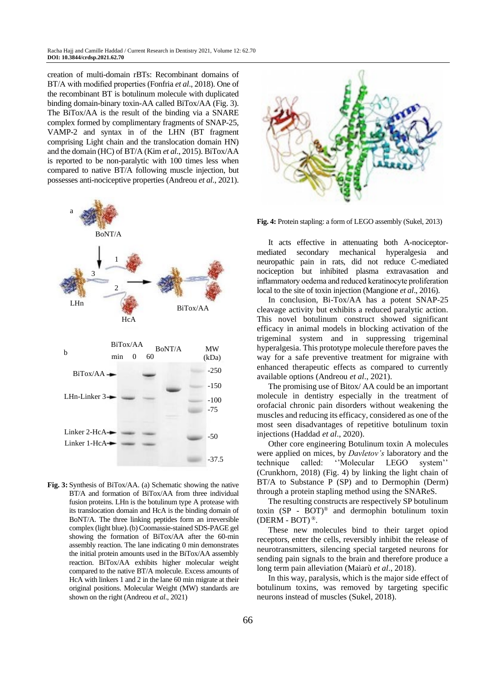Racha Hajj and Camille Haddad / Current Research in Dentistry 2021, Volume 12: 62.70 **DOI: 10.3844/crdsp.2021.62.70**

creation of multi-domain rBTs: Recombinant domains of BT/A with modified properties (Fonfria *et al*., 2018). One of the recombinant BT is botulinum molecule with duplicated binding domain-binary toxin-AA called BiTox/AA (Fig. 3). The BiTox/AA is the result of the binding via a SNARE complex formed by complimentary fragments of SNAP-25, VAMP-2 and syntax in of the LHN (BT fragment comprising Light chain and the translocation domain HN) and the domain (HC) of BT/A (Kim *et al*., 2015). BiTox/AA is reported to be non-paralytic with 100 times less when compared to native BT/A following muscle injection, but possesses anti-nociceptive properties (Andreou *et al*., 2021).



**Fig. 3:** Synthesis of BiTox/AA. (a) Schematic showing the native BT/A and formation of BiTox/AA from three individual fusion proteins. LHn is the botulinum type A protease with its translocation domain and HcA is the binding domain of BoNT/A. The three linking peptides form an irreversible complex (light blue). (b) Coomassie-stained SDS-PAGE gel showing the formation of BiTox/AA after the 60-min assembly reaction. The lane indicating 0 min demonstrates the initial protein amounts used in the BiTox/AA assembly reaction. BiTox/AA exhibits higher molecular weight compared to the native BT/A molecule. Excess amounts of HcA with linkers 1 and 2 in the lane 60 min migrate at their original positions. Molecular Weight (MW) standards are shown on the right (Andreou *et al*., 2021)



**Fig. 4:** Protein stapling: a form of LEGO assembly (Sukel, 2013)

It acts effective in attenuating both A-nociceptormediated secondary mechanical hyperalgesia and neuropathic pain in rats, did not reduce C-mediated nociception but inhibited plasma extravasation and inflammatory oedema and reduced keratinocyte proliferation local to the site of toxin injection (Mangione *et al*., 2016).

In conclusion, Bi-Tox/AA has a potent SNAP-25 cleavage activity but exhibits a reduced paralytic action. This novel botulinum construct showed significant efficacy in animal models in blocking activation of the trigeminal system and in suppressing trigeminal hyperalgesia. This prototype molecule therefore paves the way for a safe preventive treatment for migraine with enhanced therapeutic effects as compared to currently available options (Andreou *et al*., 2021).

The promising use of Bitox/ AA could be an important molecule in dentistry especially in the treatment of orofacial chronic pain disorders without weakening the muscles and reducing its efficacy, considered as one of the most seen disadvantages of repetitive botulinum toxin injections (Haddad *et al*., 2020).

Other core engineering Botulinum toxin A molecules were applied on mices, by *Davletov's* laboratory and the technique called: ''Molecular LEGO system'' (Crunkhorn, 2018) (Fig. 4) by linking the light chain of BT/A to Substance P (SP) and to Dermophin (Derm) through a protein stapling method using the SNAReS.

The resulting constructs are respectively SP botulinum toxin (SP - BOT)® and dermophin botulinum toxin (DERM - BOT) $^{\circledR}$ .

These new molecules bind to their target opiod receptors, enter the cells, reversibly inhibit the release of neurotransmitters, silencing special targeted neurons for sending pain signals to the brain and therefore produce a long term pain alleviation (Maiarù *et al*., 2018).

In this way, paralysis, which is the major side effect of botulinum toxins, was removed by targeting specific neurons instead of muscles (Sukel, 2018).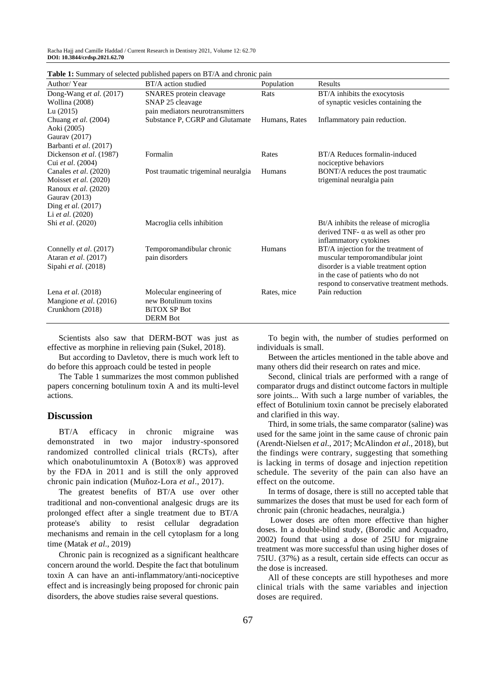Racha Hajj and Camille Haddad / Current Research in Dentistry 2021, Volume 12: 62.70 **DOI: 10.3844/crdsp.2021.62.70**

| Author/Year                           | <b>rative 1.</b> Summary or screeged papment papers on <b>D</b> 1/A and chrome pain<br>BT/A action studied | Population    | Results                                    |
|---------------------------------------|------------------------------------------------------------------------------------------------------------|---------------|--------------------------------------------|
| Dong-Wang et al. (2017)               | SNARES protein cleavage                                                                                    | Rats          | BT/A inhibits the exocytosis               |
| Wollina (2008)                        | SNAP 25 cleavage                                                                                           |               | of synaptic vesicles containing the        |
| Lu $(2015)$                           | pain mediators neurotransmitters                                                                           |               |                                            |
| Chuang et al. $(2004)$                | Substance P, CGRP and Glutamate                                                                            | Humans, Rates | Inflammatory pain reduction.               |
| Aoki (2005)                           |                                                                                                            |               |                                            |
| Gaurav (2017)                         |                                                                                                            |               |                                            |
| Barbanti et al. (2017)                |                                                                                                            |               |                                            |
| Dickenson et al. (1987)               | Formalin                                                                                                   | Rates         | BT/A Reduces formalin-induced              |
| Cui et al. (2004)                     |                                                                                                            |               | nociceptive behaviors                      |
| Canales et al. (2020)                 | Post traumatic trigeminal neuralgia                                                                        | Humans        | BONT/A reduces the post traumatic          |
| Moisset et al. (2020)                 |                                                                                                            |               | trigeminal neuralgia pain                  |
| Ranoux et al. (2020)<br>Gaurav (2013) |                                                                                                            |               |                                            |
| Ding et al. (2017)                    |                                                                                                            |               |                                            |
| Li <i>et al.</i> $(2020)$             |                                                                                                            |               |                                            |
| Shi et al. (2020)                     | Macroglia cells inhibition                                                                                 |               | Bt/A inhibits the release of microglia     |
|                                       |                                                                                                            |               | derived TNF- $\alpha$ as well as other pro |
|                                       |                                                                                                            |               | inflammatory cytokines                     |
| Connelly et al. (2017)                | Temporomandibular chronic                                                                                  | Humans        | BT/A injection for the treatment of        |
| Ataran et al. (2017)                  | pain disorders                                                                                             |               | muscular temporomandibular joint           |
| Sipahi et al. (2018)                  |                                                                                                            |               | disorder is a viable treatment option      |
|                                       |                                                                                                            |               | in the case of patients who do not         |
|                                       |                                                                                                            |               | respond to conservative treatment methods. |
| Lena <i>et al.</i> $(2018)$           | Molecular engineering of                                                                                   | Rates, mice   | Pain reduction                             |
| Mangione et al. (2016)                | new Botulinum toxins                                                                                       |               |                                            |
| Crunkhorn (2018)                      | <b>BiTOX SP Bot</b>                                                                                        |               |                                            |
|                                       | <b>DERM Bot</b>                                                                                            |               |                                            |

**Table 1:** Summary of selected published papers on BT/A and chronic pain

Scientists also saw that DERM-BOT was just as effective as morphine in relieving pain (Sukel, 2018).

But according to Davletov, there is much work left to do before this approach could be tested in people

The Table 1 summarizes the most common published papers concerning botulinum toxin A and its multi-level actions.

#### **Discussion**

BT/A efficacy in chronic migraine was demonstrated in two major industry-sponsored randomized controlled clinical trials (RCTs), after which onabotulinumtoxin A (Botox®) was approved by the FDA in 2011 and is still the only approved chronic pain indication (Muñoz-Lora *et al*., 2017).

The greatest benefits of BT/A use over other traditional and non-conventional analgesic drugs are its prolonged effect after a single treatment due to BT/A protease's ability to resist cellular degradation mechanisms and remain in the cell cytoplasm for a long time (Matak *et al*., 2019)

Chronic pain is recognized as a significant healthcare concern around the world. Despite the fact that botulinum toxin A can have an anti-inflammatory/anti-nociceptive effect and is increasingly being proposed for chronic pain disorders, the above studies raise several questions.

To begin with, the number of studies performed on individuals is small.

Between the articles mentioned in the table above and many others did their research on rates and mice.

Second, clinical trials are performed with a range of comparator drugs and distinct outcome factors in multiple sore joints... With such a large number of variables, the effect of Botulinium toxin cannot be precisely elaborated and clarified in this way.

Third, in some trials, the same comparator (saline) was used for the same joint in the same cause of chronic pain (Arendt-Nielsen *et al*., 2017; McAlindon *et al*., 2018), but the findings were contrary, suggesting that something is lacking in terms of dosage and injection repetition schedule. The severity of the pain can also have an effect on the outcome.

In terms of dosage, there is still no accepted table that summarizes the doses that must be used for each form of chronic pain (chronic headaches, neuralgia.)

Lower doses are often more effective than higher doses. In a double-blind study, (Borodic and Acquadro, 2002) found that using a dose of 25IU for migraine treatment was more successful than using higher doses of 75IU. (37%) as a result, certain side effects can occur as the dose is increased.

All of these concepts are still hypotheses and more clinical trials with the same variables and injection doses are required.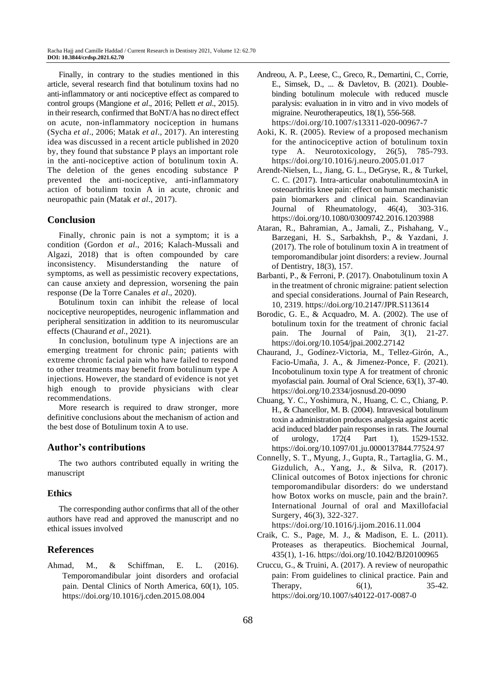Finally, in contrary to the studies mentioned in this article, several research find that botulinum toxins had no anti-inflammatory or anti nociceptive effect as compared to control groups (Mangione *et al*., 2016; Pellett *et al*., 2015). in their research, confirmed that BoNT/A has no direct effect on acute, non-inflammatory nociception in humans (Sycha *et al*., 2006; Matak *et al*., 2017). An interesting idea was discussed in a recent article published in 2020 by, they found that substance P plays an important role in the anti-nociceptive action of botulinum toxin A. The deletion of the genes encoding substance P prevented the anti-nociceptive, anti-inflammatory action of botulinm toxin A in acute, chronic and neuropathic pain (Matak *et al*., 2017).

## **Conclusion**

Finally, chronic pain is not a symptom; it is a condition (Gordon *et al*., 2016; Kalach-Mussali and Algazi, 2018) that is often compounded by care inconsistency. Misunderstanding the nature of symptoms, as well as pessimistic recovery expectations, can cause anxiety and depression, worsening the pain response (De la Torre Canales *et al*., 2020).

Botulinum toxin can inhibit the release of local nociceptive neuropeptides, neurogenic inflammation and peripheral sensitization in addition to its neuromuscular effects (Chaurand *et al*., 2021).

In conclusion, botulinum type A injections are an emerging treatment for chronic pain; patients with extreme chronic facial pain who have failed to respond to other treatments may benefit from botulinum type A injections. However, the standard of evidence is not yet high enough to provide physicians with clear recommendations.

More research is required to draw stronger, more definitive conclusions about the mechanism of action and the best dose of Botulinum toxin A to use.

## **Author's contributions**

The two authors contributed equally in writing the manuscript

## **Ethics**

The corresponding author confirms that all of the other authors have read and approved the manuscript and no ethical issues involved

## **References**

Ahmad, M., & Schiffman, E. L. (2016). Temporomandibular joint disorders and orofacial pain. Dental Clinics of North America, 60(1), 105. https://doi.org/10.1016/j.cden.2015.08.004

- Andreou, A. P., Leese, C., Greco, R., Demartini, C., Corrie, E., Simsek, D., ... & Davletov, B. (2021). Doublebinding botulinum molecule with reduced muscle paralysis: evaluation in in vitro and in vivo models of migraine. Neurotherapeutics, 18(1), 556-568. https://doi.org/10.1007/s13311-020-00967-7
- Aoki, K. R. (2005). Review of a proposed mechanism for the antinociceptive action of botulinum toxin type A. Neurotoxicology, 26(5), 785-793. https://doi.org/10.1016/j.neuro.2005.01.017
- Arendt-Nielsen, L., Jiang, G. L., DeGryse, R., & Turkel, C. C. (2017). Intra-articular onabotulinumtoxinA in osteoarthritis knee pain: effect on human mechanistic pain biomarkers and clinical pain. Scandinavian Journal of Rheumatology, 46(4), 303-316. https://doi.org/10.1080/03009742.2016.1203988
- Ataran, R., Bahramian, A., Jamali, Z., Pishahang, V., Barzegani, H. S., Sarbakhsh, P., & Yazdani, J. (2017). The role of botulinum toxin A in treatment of temporomandibular joint disorders: a review. Journal of Dentistry, 18(3), 157.
- Barbanti, P., & Ferroni, P. (2017). Onabotulinum toxin A in the treatment of chronic migraine: patient selection and special considerations. Journal of Pain Research, 10, 2319.<https://doi.org/10.2147/JPR.S113614>
- Borodic, G. E., & Acquadro, M. A. (2002). The use of botulinum toxin for the treatment of chronic facial pain. The Journal of Pain, 3(1), 21-27. https://doi.org/10.1054/jpai.2002.27142
- Chaurand, J., Godínez-Victoria, M., Tellez-Girón, A., Facio-Umaña, J. A., & Jimenez-Ponce, F. (2021). Incobotulinum toxin type A for treatment of chronic myofascial pain. Journal of Oral Science, 63(1), 37-40. https://doi.org/10.2334/josnusd.20-0090
- Chuang, Y. C., Yoshimura, N., Huang, C. C., Chiang, P. H., & Chancellor, M. B. (2004). Intravesical botulinum toxin a administration produces analgesia against acetic acid induced bladder pain responses in rats. The Journal of urology, 172(4 Part 1), 1529-1532. https://doi.org/10.1097/01.ju.0000137844.77524.97
- Connelly, S. T., Myung, J., Gupta, R., Tartaglia, G. M., Gizdulich, A., Yang, J., & Silva, R. (2017). Clinical outcomes of Botox injections for chronic temporomandibular disorders: do we understand how Botox works on muscle, pain and the brain?. International Journal of oral and Maxillofacial Surgery, 46(3), 322-327. https://doi.org/10.1016/j.ijom.2016.11.004
- Craik, C. S., Page, M. J., & Madison, E. L. (2011). Proteases as therapeutics. Biochemical Journal, 435(1), 1-16. https://doi.org/10.1042/BJ20100965
- Cruccu, G., & Truini, A. (2017). A review of neuropathic pain: From guidelines to clinical practice. Pain and Therapy,  $6(1)$ ,  $35-42$ . <https://doi.org/10.1007/s40122-017-0087-0>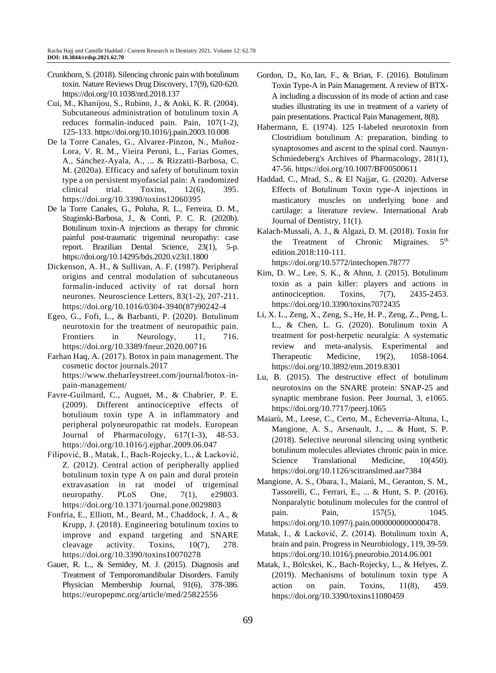- Crunkhorn, S. (2018). Silencing chronic pain with botulinum toxin. Nature Reviews Drug Discovery, 17(9), 620-620. https://doi.org/10.1038/nrd.2018.137
- Cui, M., Khanijou, S., Rubino, J., & Aoki, K. R. (2004). Subcutaneous administration of botulinum toxin A reduces formalin-induced pain. Pain, 107(1-2), 125-133. https://doi.org/10.1016/j.pain.2003.10.008
- De la Torre Canales, G., Alvarez-Pinzon, N., Muñoz-Lora, V. R. M., Vieira Peroni, L., Farias Gomes, A., Sánchez-Ayala, A., ... & Rizzatti-Barbosa, C. M. (2020a). Efficacy and safety of botulinum toxin type a on persistent myofascial pain: A randomized clinical trial. Toxins, 12(6), 395. https://doi.org/10.3390/toxins12060395
- De la Torre Canales, G., Poluha, R. L., Ferreira, D. M., Stuginski-Barbosa, J., & Conti, P. C. R. (2020b). Botulinum toxin-A injections as therapy for chronic painful post-traumatic trigeminal neuropathy: case report. Brazilian Dental Science, 23(1), 5-p. <https://doi.org/10.14295/bds.2020.v23i1.1800>
- Dickenson, A. H., & Sullivan, A. F. (1987). Peripheral origins and central modulation of subcutaneous formalin-induced activity of rat dorsal horn neurones. Neuroscience Letters, 83(1-2), 207-211. https://doi.org/10.1016/0304-3940(87)90242-4
- Egeo, G., Fofi, L., & Barbanti, P. (2020). Botulinum neurotoxin for the treatment of neuropathic pain. Frontiers in Neurology, 11, 716. <https://doi.org/10.3389/fneur.2020.00716>
- Farhan Haq, A. (2017). Botox in pain management. The cosmetic doctor journals.2017 https://www.theharleystreet.com/journal/botox-inpain-management/
- Favre-Guilmard, C., Auguet, M., & Chabrier, P. E. (2009). Different antinociceptive effects of botulinum toxin type A in inflammatory and peripheral polyneuropathic rat models. European Journal of Pharmacology, 617(1-3), 48-53. https://doi.org/10.1016/j.ejphar.2009.06.047
- Filipović, B., Matak, I., Bach-Rojecky, L., & Lacković, Z. (2012). Central action of peripherally applied botulinum toxin type A on pain and dural protein extravasation in rat model of trigeminal neuropathy. PLoS One, 7(1), e29803. https://doi.org/10.1371/journal.pone.0029803
- Fonfria, E., Elliott, M., Beard, M., Chaddock, J. A., & Krupp, J. (2018). Engineering botulinum toxins to improve and expand targeting and SNARE cleavage activity. Toxins, 10(7), 278. <https://doi.org/10.3390/toxins10070278>
- [Gauer, R. L.](https://europepmc.org/search?query=AUTH:%22Robert%20L%20Gauer%22), & [Semidey, M. J.](https://europepmc.org/search?query=AUTH:%22Michael%20J%20Semidey%22) (2015). Diagnosis and Treatment of Temporomandibular Disorders. Family Physician Membership Journal, 91(6), 378-386. <https://europepmc.org/article/med/25822556>
- [Gordon, D., Ko,](https://www.practicalpainmanagement.com/author/2418/ko) Ian, F., & Brian, F. (2016). Botulinum Toxin Type-A in Pain Management. A review of BTX-A including a discussion of its mode of action and case studies illustrating its use in treatment of a variety of pain presentations. Practical Pain Management, 8(8).
- Habermann, E. (1974). 125 I-labeled neurotoxin from Clostridium botulinum A: preparation, binding to synaptosomes and ascent to the spinal cord. Naunyn-Schmiedeberg's Archives of Pharmacology, 281(1), 47-56. https://doi.org/10.1007/BF00500611
- Haddad, C., Mrad, S., & El Najjar, G. (2020). Adverse Effects of Botulinum Toxin type-A injections in masticatory muscles on underlying bone and cartilage: a literature review. International Arab Journal of Dentistry, 11(1).
- Kalach-Mussali, A. J., & Algazi, D. M. (2018). Toxin for the Treatment of Chronic Migraines.  $5<sup>th</sup>$ edition.2018:110-111. https://doi.org/10.5772/intechopen.78777
- Kim, D. W., Lee, S. K., & Ahnn, J. (2015). Botulinum toxin as a pain killer: players and actions in antinociception. Toxins, 7(7), 2435-2453. <https://doi.org/10.3390/toxins7072435>
- Li, X. L., Zeng, X., Zeng, S., He, H. P., Zeng, Z., Peng, L. L., & Chen, L. G. (2020). Botulinum toxin A treatment for post‑herpetic neuralgia: A systematic review and meta‑analysis. Experimental and Therapeutic Medicine, 19(2), 1058-1064. <https://doi.org/10.3892/etm.2019.8301>
- Lu, B. (2015). The destructive effect of botulinum neurotoxins on the SNARE protein: SNAP-25 and synaptic membrane fusion. Peer Journal, 3, e1065. <https://doi.org/10.7717/peerj.1065>
- Maiarù, M., Leese, C., Certo, M., Echeverria-Altuna, I., Mangione, A. S., Arsenault, J., ... & Hunt, S. P. (2018). Selective neuronal silencing using synthetic botulinum molecules alleviates chronic pain in mice. Science Translational Medicine, 10(450). https://doi.org/10.1126/scitranslmed.aar7384
- Mangione, A. S., Obara, I., Maiarú, M., Geranton, S. M., Tassorelli, C., Ferrari, E., ... & Hunt, S. P. (2016). Nonparalytic botulinum molecules for the control of pain. Pain, 157(5), 1045. [https://doi.org/10.1097/j.pain.0000000000000478.](https://doi.org/10.1097/j.pain.0000000000000478)
- Matak, I., & Lacković, Z. (2014). Botulinum toxin A, brain and pain. Progress in Neurobiology, 119, 39-59. https://doi.org/10.1016/j.pneurobio.2014.06.001
- Matak, I., Bölcskei, K., Bach-Rojecky, L., & Helyes, Z. (2019). Mechanisms of botulinum toxin type A action on pain. Toxins, 11(8), 459. <https://doi.org/10.3390/toxins11080459>